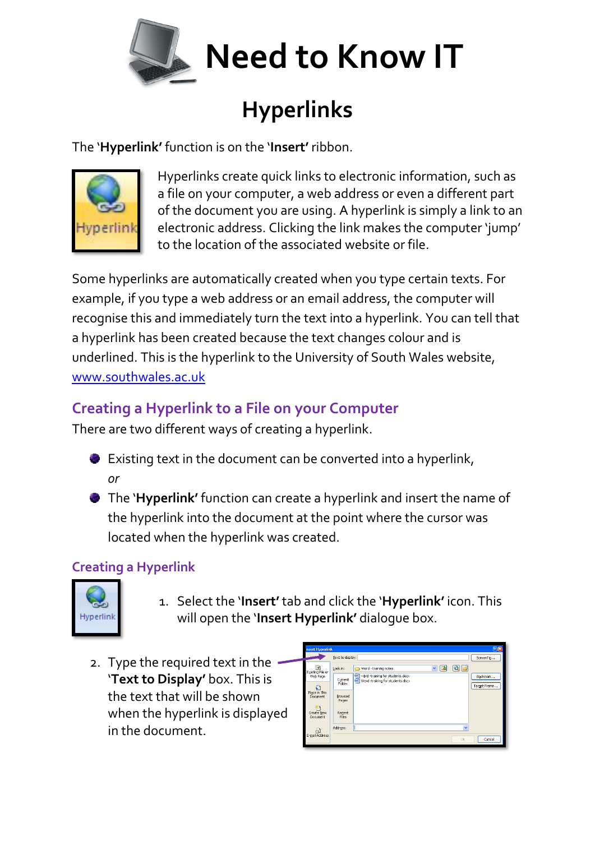

## **Hyperlinks**

The '**Hyperlink'** function is on the '**Insert'** ribbon.



Hyperlinks create quick links to electronic information, such as a file on your computer, a web address or even a different part of the document you are using. A hyperlink is simply a link to an electronic address. Clicking the link makes the computer 'jump' to the location of the associated website or file.

Some hyperlinks are automatically created when you type certain texts. For example, if you type a web address or an email address, the computer will recognise this and immediately turn the text into a hyperlink. You can tell that a hyperlink has been created because the text changes colour and is underlined. This is the hyperlink to the University of South Wales website, [www.southwales.ac.uk](http://www.southwales.ac.uk/)

## **Creating a Hyperlink to a File on your Computer**

There are two different ways of creating a hyperlink.

- Existing text in the document can be converted into a hyperlink, *or*
- The '**Hyperlink'** function can create a hyperlink and insert the name of the hyperlink into the document at the point where the cursor was located when the hyperlink was created.

## **Creating a Hyperlink**



- 1. Select the '**Insert'** tab and click the '**Hyperlink'** icon. This will open the '**Insert Hyperlink'** dialogue box.
- 2. Type the required text in the '**Text to Display'** box. This is the text that will be shown when the hyperlink is displayed in the document.

| 回因<br>nsert Hyperlink                                               |                   |                                                                                         |                          |
|---------------------------------------------------------------------|-------------------|-----------------------------------------------------------------------------------------|--------------------------|
|                                                                     | Text to display:  |                                                                                         | ScreenTip                |
| ø<br>Existing File or<br>Web Page<br>€<br>Place in This<br>Document | Look in:          | $\mathbf{Q}$ $\mathbf{E}$<br>$\overline{\mathbf{v}}$<br>B<br>Word - training notes<br>a |                          |
|                                                                     | Current<br>Folder | Word -training for students.docx                                                        | Bookmark<br>Target Frame |
|                                                                     | Browsed           |                                                                                         |                          |
| 平面                                                                  | Pages             |                                                                                         |                          |
| Create New<br>Document                                              | Regent<br>Files   |                                                                                         |                          |
| ы<br>E-mail Address                                                 | Address:          |                                                                                         | $\checkmark$             |
|                                                                     |                   | OK.                                                                                     | Cancel                   |